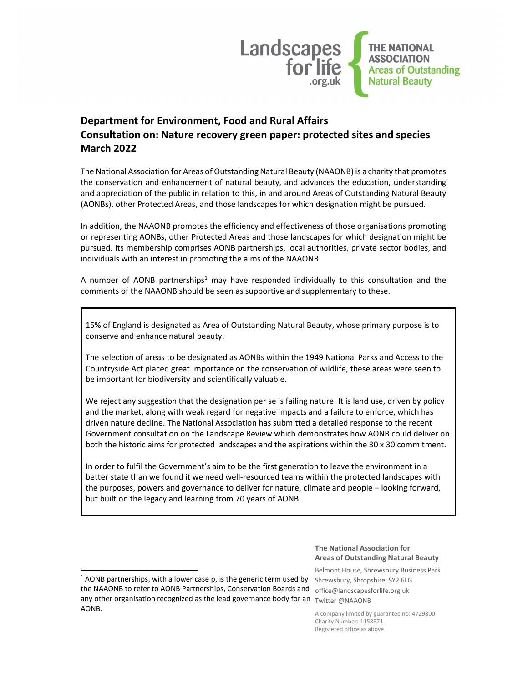

# Department for Environment, Food and Rural Affairs Consultation on: Nature recovery green paper: protected sites and species March 2022

The National Association for Areas of Outstanding Natural Beauty (NAAONB) is a charity that promotes the conservation and enhancement of natural beauty, and advances the education, understanding and appreciation of the public in relation to this, in and around Areas of Outstanding Natural Beauty (AONBs), other Protected Areas, and those landscapes for which designation might be pursued.

In addition, the NAAONB promotes the efficiency and effectiveness of those organisations promoting or representing AONBs, other Protected Areas and those landscapes for which designation might be pursued. Its membership comprises AONB partnerships, local authorities, private sector bodies, and individuals with an interest in promoting the aims of the NAAONB.

A number of AONB partnerships<sup>1</sup> may have responded individually to this consultation and the comments of the NAAONB should be seen as supportive and supplementary to these.

15% of England is designated as Area of Outstanding Natural Beauty, whose primary purpose is to conserve and enhance natural beauty.

The selection of areas to be designated as AONBs within the 1949 National Parks and Access to the Countryside Act placed great importance on the conservation of wildlife, these areas were seen to be important for biodiversity and scientifically valuable.

We reject any suggestion that the designation per se is failing nature. It is land use, driven by policy and the market, along with weak regard for negative impacts and a failure to enforce, which has driven nature decline. The National Association has submitted a detailed response to the recent Government consultation on the Landscape Review which demonstrates how AONB could deliver on both the historic aims for protected landscapes and the aspirations within the 30 x 30 commitment.

In order to fulfil the Government's aim to be the first generation to leave the environment in a better state than we found it we need well-resourced teams within the protected landscapes with the purposes, powers and governance to deliver for nature, climate and people – looking forward, but built on the legacy and learning from 70 years of AONB.

### The National Association for Areas of Outstanding Natural Beauty

Belmont House, Shrewsbury Business Park Shrewsbury, Shropshire, SY2 6LG

A company limited by guarantee no: 4729800 Charity Number: 1158871 Registered office as above

the NAAONB to refer to AONB Partnerships, Conservation Boards and office@landscapesforlife.org.uk any other organisation recognized as the lead governance body for an  $\tau_{\text{witter@NAAONB}}$  $1$  AONB partnerships, with a lower case p, is the generic term used by AONB.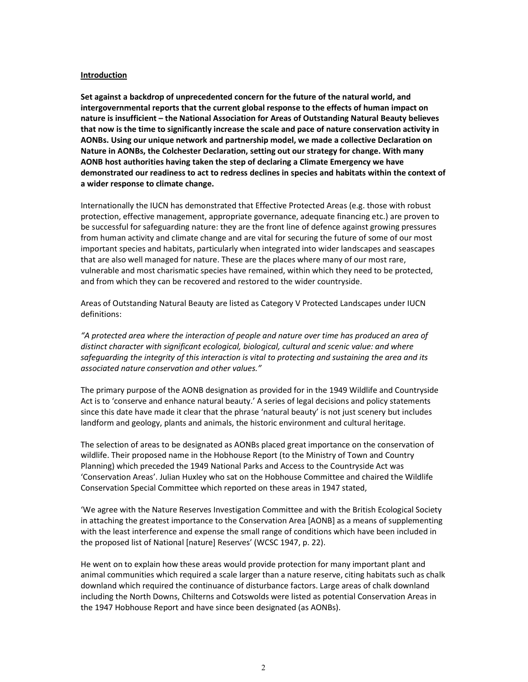#### Introduction

Set against a backdrop of unprecedented concern for the future of the natural world, and intergovernmental reports that the current global response to the effects of human impact on nature is insufficient – the National Association for Areas of Outstanding Natural Beauty believes that now is the time to significantly increase the scale and pace of nature conservation activity in AONBs. Using our unique network and partnership model, we made a collective Declaration on Nature in AONBs, the Colchester Declaration, setting out our strategy for change. With many AONB host authorities having taken the step of declaring a Climate Emergency we have demonstrated our readiness to act to redress declines in species and habitats within the context of a wider response to climate change.

Internationally the IUCN has demonstrated that Effective Protected Areas (e.g. those with robust protection, effective management, appropriate governance, adequate financing etc.) are proven to be successful for safeguarding nature: they are the front line of defence against growing pressures from human activity and climate change and are vital for securing the future of some of our most important species and habitats, particularly when integrated into wider landscapes and seascapes that are also well managed for nature. These are the places where many of our most rare, vulnerable and most charismatic species have remained, within which they need to be protected, and from which they can be recovered and restored to the wider countryside.

Areas of Outstanding Natural Beauty are listed as Category V Protected Landscapes under IUCN definitions:

"A protected area where the interaction of people and nature over time has produced an area of distinct character with significant ecological, biological, cultural and scenic value: and where safeguarding the integrity of this interaction is vital to protecting and sustaining the area and its associated nature conservation and other values."

The primary purpose of the AONB designation as provided for in the 1949 Wildlife and Countryside Act is to 'conserve and enhance natural beauty.' A series of legal decisions and policy statements since this date have made it clear that the phrase 'natural beauty' is not just scenery but includes landform and geology, plants and animals, the historic environment and cultural heritage.

The selection of areas to be designated as AONBs placed great importance on the conservation of wildlife. Their proposed name in the Hobhouse Report (to the Ministry of Town and Country Planning) which preceded the 1949 National Parks and Access to the Countryside Act was 'Conservation Areas'. Julian Huxley who sat on the Hobhouse Committee and chaired the Wildlife Conservation Special Committee which reported on these areas in 1947 stated,

'We agree with the Nature Reserves Investigation Committee and with the British Ecological Society in attaching the greatest importance to the Conservation Area [AONB] as a means of supplementing with the least interference and expense the small range of conditions which have been included in the proposed list of National [nature] Reserves' (WCSC 1947, p. 22).

He went on to explain how these areas would provide protection for many important plant and animal communities which required a scale larger than a nature reserve, citing habitats such as chalk downland which required the continuance of disturbance factors. Large areas of chalk downland including the North Downs, Chilterns and Cotswolds were listed as potential Conservation Areas in the 1947 Hobhouse Report and have since been designated (as AONBs).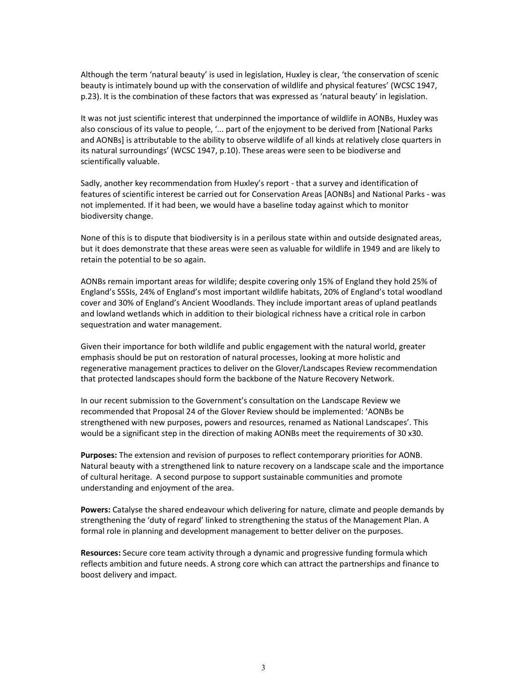Although the term 'natural beauty' is used in legislation, Huxley is clear, 'the conservation of scenic beauty is intimately bound up with the conservation of wildlife and physical features' (WCSC 1947, p.23). It is the combination of these factors that was expressed as 'natural beauty' in legislation.

It was not just scientific interest that underpinned the importance of wildlife in AONBs, Huxley was also conscious of its value to people, '... part of the enjoyment to be derived from [National Parks and AONBs] is attributable to the ability to observe wildlife of all kinds at relatively close quarters in its natural surroundings' (WCSC 1947, p.10). These areas were seen to be biodiverse and scientifically valuable.

Sadly, another key recommendation from Huxley's report - that a survey and identification of features of scientific interest be carried out for Conservation Areas [AONBs] and National Parks - was not implemented. If it had been, we would have a baseline today against which to monitor biodiversity change.

None of this is to dispute that biodiversity is in a perilous state within and outside designated areas, but it does demonstrate that these areas were seen as valuable for wildlife in 1949 and are likely to retain the potential to be so again.

AONBs remain important areas for wildlife; despite covering only 15% of England they hold 25% of England's SSSIs, 24% of England's most important wildlife habitats, 20% of England's total woodland cover and 30% of England's Ancient Woodlands. They include important areas of upland peatlands and lowland wetlands which in addition to their biological richness have a critical role in carbon sequestration and water management.

Given their importance for both wildlife and public engagement with the natural world, greater emphasis should be put on restoration of natural processes, looking at more holistic and regenerative management practices to deliver on the Glover/Landscapes Review recommendation that protected landscapes should form the backbone of the Nature Recovery Network.

In our recent submission to the Government's consultation on the Landscape Review we recommended that Proposal 24 of the Glover Review should be implemented: 'AONBs be strengthened with new purposes, powers and resources, renamed as National Landscapes'. This would be a significant step in the direction of making AONBs meet the requirements of 30 x30.

Purposes: The extension and revision of purposes to reflect contemporary priorities for AONB. Natural beauty with a strengthened link to nature recovery on a landscape scale and the importance of cultural heritage. A second purpose to support sustainable communities and promote understanding and enjoyment of the area.

Powers: Catalyse the shared endeavour which delivering for nature, climate and people demands by strengthening the 'duty of regard' linked to strengthening the status of the Management Plan. A formal role in planning and development management to better deliver on the purposes.

Resources: Secure core team activity through a dynamic and progressive funding formula which reflects ambition and future needs. A strong core which can attract the partnerships and finance to boost delivery and impact.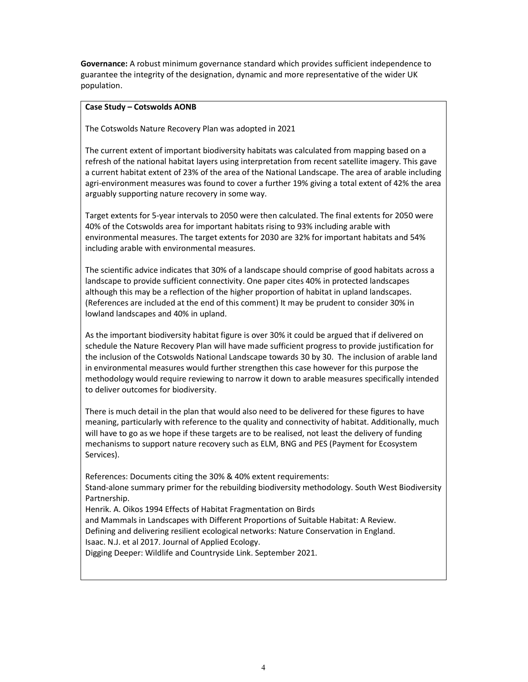Governance: A robust minimum governance standard which provides sufficient independence to guarantee the integrity of the designation, dynamic and more representative of the wider UK population.

## Case Study – Cotswolds AONB

The Cotswolds Nature Recovery Plan was adopted in 2021

The current extent of important biodiversity habitats was calculated from mapping based on a refresh of the national habitat layers using interpretation from recent satellite imagery. This gave a current habitat extent of 23% of the area of the National Landscape. The area of arable including agri-environment measures was found to cover a further 19% giving a total extent of 42% the area arguably supporting nature recovery in some way.

Target extents for 5-year intervals to 2050 were then calculated. The final extents for 2050 were 40% of the Cotswolds area for important habitats rising to 93% including arable with environmental measures. The target extents for 2030 are 32% for important habitats and 54% including arable with environmental measures.

The scientific advice indicates that 30% of a landscape should comprise of good habitats across a landscape to provide sufficient connectivity. One paper cites 40% in protected landscapes although this may be a reflection of the higher proportion of habitat in upland landscapes. (References are included at the end of this comment) It may be prudent to consider 30% in lowland landscapes and 40% in upland.

As the important biodiversity habitat figure is over 30% it could be argued that if delivered on schedule the Nature Recovery Plan will have made sufficient progress to provide justification for the inclusion of the Cotswolds National Landscape towards 30 by 30. The inclusion of arable land in environmental measures would further strengthen this case however for this purpose the methodology would require reviewing to narrow it down to arable measures specifically intended to deliver outcomes for biodiversity.

There is much detail in the plan that would also need to be delivered for these figures to have meaning, particularly with reference to the quality and connectivity of habitat. Additionally, much will have to go as we hope if these targets are to be realised, not least the delivery of funding mechanisms to support nature recovery such as ELM, BNG and PES (Payment for Ecosystem Services).

References: Documents citing the 30% & 40% extent requirements: Stand-alone summary primer for the rebuilding biodiversity methodology. South West Biodiversity Partnership.

Henrik. A. Oikos 1994 Effects of Habitat Fragmentation on Birds and Mammals in Landscapes with Different Proportions of Suitable Habitat: A Review. Defining and delivering resilient ecological networks: Nature Conservation in England. Isaac. N.J. et al 2017. Journal of Applied Ecology. Digging Deeper: Wildlife and Countryside Link. September 2021.